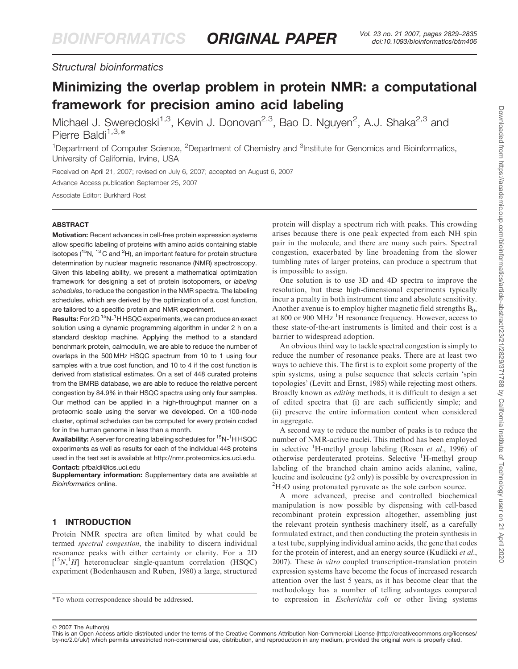# Structural bioinformatics

# Minimizing the overlap problem in protein NMR: a computational framework for precision amino acid labeling

Michael J. Sweredoski<sup>1,3</sup>, Kevin J. Donovan<sup>2,3</sup>, Bao D. Nguyen<sup>2</sup>, A.J. Shaka<sup>2,3</sup> and Pierre Baldi $1,3,*$ 

<sup>1</sup>Department of Computer Science, <sup>2</sup>Department of Chemistry and <sup>3</sup>Institute for Genomics and Bioinformatics, University of California, Irvine, USA

Received on April 21, 2007; revised on July 6, 2007; accepted on August 6, 2007 Advance Access publication September 25, 2007

Associate Editor: Burkhard Rost

### ABSTRACT

Motivation: Recent advances in cell-free protein expression systems allow specific labeling of proteins with amino acids containing stable isotopes ( ${}^{15}$ N,  ${}^{13}$ C and  ${}^{2}$ H), an important feature for protein structure determination by nuclear magnetic resonance (NMR) spectroscopy. Given this labeling ability, we present a mathematical optimization framework for designing a set of protein isotopomers, or labeling schedules, to reduce the congestion in the NMR spectra. The labeling schedules, which are derived by the optimization of a cost function, are tailored to a specific protein and NMR experiment.

Results: For 2D <sup>15</sup>N-<sup>1</sup>H HSQC experiments, we can produce an exact solution using a dynamic programming algorithm in under 2 h on a standard desktop machine. Applying the method to a standard benchmark protein, calmodulin, we are able to reduce the number of overlaps in the 500 MHZ HSQC spectrum from 10 to 1 using four samples with a true cost function, and 10 to 4 if the cost function is derived from statistical estimates. On a set of 448 curated proteins from the BMRB database, we are able to reduce the relative percent congestion by 84.9% in their HSQC spectra using only four samples. Our method can be applied in a high-throughput manner on a proteomic scale using the server we developed. On a 100-node cluster, optimal schedules can be computed for every protein coded for in the human genome in less than a month.

Availability: A server for creating labeling schedules for <sup>15</sup>N-<sup>1</sup>H HSQC experiments as well as results for each of the individual 448 proteins used in the test set is available at [http://nmr.proteomics.ics.uci.edu.](http://nmr.proteomics.ics.uci.edu) Contact: pfbaldi@ics.uci.edu

Supplementary information: Supplementary data are available at Bioinformatics online.

# 1 INTRODUCTION

Protein NMR spectra are often limited by what could be termed spectral congestion, the inability to discern individual resonance peaks with either certainty or clarity. For a 2D  $[$ <sup>15</sup>N,<sup>1</sup>H] heteronuclear single-quantum correlation (HSQC) experiment (Bodenhausen and Ruben, 1980) a large, structured protein will display a spectrum rich with peaks. This crowding arises because there is one peak expected from each NH spin pair in the molecule, and there are many such pairs. Spectral congestion, exacerbated by line broadening from the slower tumbling rates of larger proteins, can produce a spectrum that is impossible to assign.

One solution is to use 3D and 4D spectra to improve the resolution, but these high-dimensional experiments typically incur a penalty in both instrument time and absolute sensitivity. Another avenue is to employ higher magnetic field strengths  $B_0$ , at 800 or 900 MHz <sup>1</sup>H resonance frequency. However, access to these state-of-the-art instruments is limited and their cost is a barrier to widespread adoption.

An obvious third way to tackle spectral congestion is simply to reduce the number of resonance peaks. There are at least two ways to achieve this. The first is to exploit some property of the spin systems, using a pulse sequence that selects certain 'spin topologies' (Levitt and Ernst, 1985) while rejecting most others. Broadly known as *editing* methods, it is difficult to design a set of edited spectra that (i) are each sufficiently simple; and (ii) preserve the entire information content when considered in aggregate.

A second way to reduce the number of peaks is to reduce the number of NMR-active nuclei. This method has been employed in selective  ${}^{1}$ H-methyl group labeling (Rosen *et al.*, 1996) of otherwise perdeuterated proteins. Selective <sup>1</sup>H-methyl group labeling of the branched chain amino acids alanine, valine, leucine and isoleucine  $(\nu 2 \text{ only})$  is possible by overexpression in  ${}^{2}H_{2}O$  using protonated pyruvate as the sole carbon source.

A more advanced, precise and controlled biochemical manipulation is now possible by dispensing with cell-based recombinant protein expression altogether, assembling just the relevant protein synthesis machinery itself, as a carefully formulated extract, and then conducting the protein synthesis in a test tube, supplying individual amino acids, the gene that codes for the protein of interest, and an energy source (Kudlicki et al., 2007). These in vitro coupled transcription-translation protein expression systems have become the focus of increased research attention over the last 5 years, as it has become clear that the methodology has a number of telling advantages compared \*To whom correspondence should be addressed. to expression in Escherichia coli or other living systems

2007 The Author(s)

This is an Open Access article distributed under the terms of the Creative Commons Attribution Non-Commercial License (<http://creativecommons.org/licenses/> by-nc/2.0/uk/) which permits unrestricted non-commercial use, distribution, and reproduction in any medium, provided the original work is properly cited.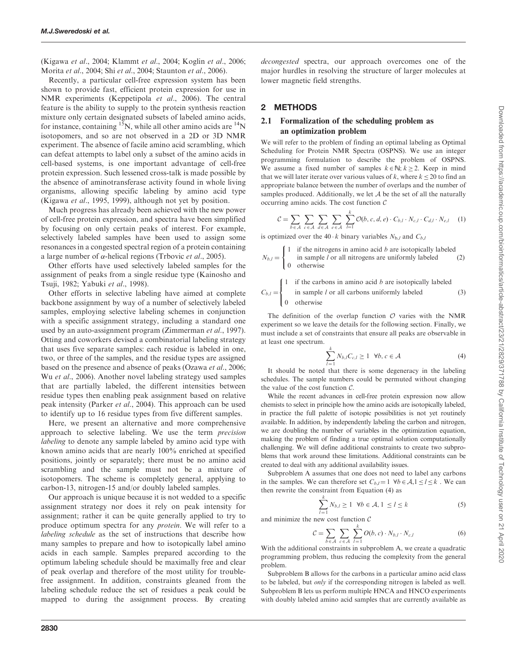(Kigawa et al., 2004; Klammt et al., 2004; Koglin et al., 2006; Morita et al., 2004; Shi et al., 2004; Staunton et al., 2006).

Recently, a particular cell-free expression system has been shown to provide fast, efficient protein expression for use in NMR experiments (Keppetipola et al., 2006). The central feature is the ability to supply to the protein synthesis reaction mixture only certain designated subsets of labeled amino acids, for instance, containing <sup>15</sup>N, while all other amino acids are  $^{14}N$ isotopomers, and so are not observed in a 2D or 3D NMR experiment. The absence of facile amino acid scrambling, which can defeat attempts to label only a subset of the amino acids in cell-based systems, is one important advantage of cell-free protein expression. Such lessened cross-talk is made possible by the absence of aminotransferase activity found in whole living organisms, allowing specific labeling by amino acid type (Kigawa et al., 1995, 1999), although not yet by position.

Much progress has already been achieved with the new power of cell-free protein expression, and spectra have been simplified by focusing on only certain peaks of interest. For example, selectively labeled samples have been used to assign some resonances in a congested spectral region of a protein containing a large number of  $\alpha$ -helical regions (Trbovic *et al.*, 2005).

Other efforts have used selectively labeled samples for the assignment of peaks from a single residue type (Kainosho and Tsuji, 1982; Yabuki et al., 1998).

Other efforts in selective labeling have aimed at complete backbone assignment by way of a number of selectively labeled samples, employing selective labeling schemes in conjunction with a specific assignment strategy, including a standard one used by an auto-assignment program (Zimmerman et al., 1997). Otting and coworkers devised a combinatorial labeling strategy that uses five separate samples: each residue is labeled in one, two, or three of the samples, and the residue types are assigned based on the presence and absence of peaks (Ozawa et al., 2006; Wu *et al.*, 2006). Another novel labeling strategy used samples that are partially labeled, the different intensities between residue types then enabling peak assignment based on relative peak intensity (Parker et al., 2004). This approach can be used to identify up to 16 residue types from five different samples.

Here, we present an alternative and more comprehensive approach to selective labeling. We use the term precision labeling to denote any sample labeled by amino acid type with known amino acids that are nearly 100% enriched at specified positions, jointly or separately; there must be no amino acid scrambling and the sample must not be a mixture of isotopomers. The scheme is completely general, applying to carbon-13, nitrogen-15 and/or doubly labeled samples.

Our approach is unique because it is not wedded to a specific assignment strategy nor does it rely on peak intensity for assignment; rather it can be quite generally applied to try to produce optimum spectra for any protein. We will refer to a labeling schedule as the set of instructions that describe how many samples to prepare and how to isotopically label amino acids in each sample. Samples prepared according to the optimum labeling schedule should be maximally free and clear of peak overlap and therefore of the most utility for troublefree assignment. In addition, constraints gleaned from the labeling schedule reduce the set of residues a peak could be mapped to during the assignment process. By creating decongested spectra, our approach overcomes one of the major hurdles in resolving the structure of larger molecules at lower magnetic field strengths.

### 2 METHODS

### 2.1 Formalization of the scheduling problem as an optimization problem

We will refer to the problem of finding an optimal labeling as Optimal Scheduling for Protein NMR Spectra (OSPNS). We use an integer programming formulation to describe the problem of OSPNS. We assume a fixed number of samples  $k \in \mathbb{N}; k \ge 2$ . Keep in mind that we will later iterate over various values of k, where  $k \leq 20$  to find an appropriate balance between the number of overlaps and the number of samples produced. Additionally, we let  $A$  be the set of all the naturally occurring amino acids. The cost function C

$$
\mathcal{C} = \sum_{b \in \mathcal{A}} \sum_{c \in \mathcal{A}} \sum_{d \in \mathcal{A}} \sum_{e \in \mathcal{A}} \sum_{l=1}^{k} \mathcal{O}(b, c, d, e) \cdot C_{b,l} \cdot N_{c,l} \cdot C_{d,l} \cdot N_{e,l} \quad (1)
$$

is optimized over the 40  $\cdot$  k binary variables  $N_{b,l}$  and  $C_{b,l}$ 

$$
N_{b,l} = \begin{cases} 1 & \text{if the nitrogens in amino acid } b \text{ are isotopically labeled} \\ 0 & \text{otherwise} \end{cases} \tag{2}
$$

 $\int$  1 if the carbons in amino acid b are isotopically labeled

$$
C_{b,l} = \begin{cases} \text{in sample } l \text{ or all carbons uniformly labeled} \\ 0 \text{ otherwise} \end{cases} \tag{3}
$$

The definition of the overlap function  $O$  varies with the NMR experiment so we leave the details for the following section. Finally, we must include a set of constraints that ensure all peaks are observable in at least one spectrum.

$$
\sum_{l=1}^{k} N_{b,l} C_{c,l} \ge 1 \quad \forall b, c \in \mathcal{A}
$$
 (4)

It should be noted that there is some degeneracy in the labeling schedules. The sample numbers could be permuted without changing the value of the cost function  $C$ .

While the recent advances in cell-free protein expression now allow chemists to select in principle how the amino acids are isotopically labeled, in practice the full palette of isotopic possibilities is not yet routinely available. In addition, by independently labeling the carbon and nitrogen, we are doubling the number of variables in the optimization equation, making the problem of finding a true optimal solution computationally challenging. We will define additional constraints to create two subproblems that work around these limitations. Additional constraints can be created to deal with any additional availability issues.

Subproblem A assumes that one does not need to label any carbons in the samples. We can therefore set  $C_{b,l} = 1 \ \forall b \in A, 1 \le l \le k$ . We can then rewrite the constraint from Equation (4) as

$$
\sum_{l=1}^{k} N_{b,l} \ge 1 \quad \forall b \in \mathcal{A}, 1 \le l \le k \tag{5}
$$

and minimize the new cost function C

$$
\mathcal{C} = \sum_{b \in \mathcal{A}} \sum_{c \in \mathcal{A}} \sum_{l=1}^{k} O(b, c) \cdot N_{b,l} \cdot N_{c,l} \tag{6}
$$

With the additional constraints in subproblem A, we create a quadratic programming problem, thus reducing the complexity from the general problem.

Subproblem B allows for the carbons in a particular amino acid class to be labeled, but only if the corresponding nitrogen is labeled as well. Subproblem B lets us perform multiple HNCA and HNCO experiments with doubly labeled amino acid samples that are currently available as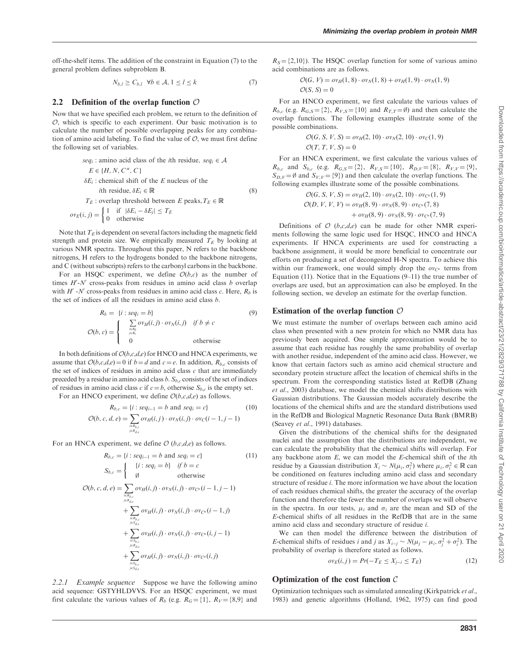off-the-shelf items. The addition of the constraint in Equation (7) to the general problem defines subproblem B.

$$
N_{b,l} \ge C_{b,l} \quad \forall b \in \mathcal{A}, 1 \le l \le k \tag{7}
$$

#### 2.2 Definition of the overlap function  $\mathcal O$

Now that we have specified each problem, we return to the definition of  $\mathcal O$ , which is specific to each experiment. Our basic motivation is to calculate the number of possible overlapping peaks for any combination of amino acid labeling. To find the value of  $O$ , we must first define the following set of variables.

$$
seq_i : \text{amino acid class of the } i\text{th residue}, \, seq_i \in \mathcal{A}
$$
\n
$$
E \in \{H, N, C^{\alpha}, C\}
$$
\n
$$
δE_i : \text{chemical shift of the } E \text{ nucleus of the } i\text{th residue}, \, δE_i \in \mathbb{R}
$$
\n
$$
T_E : \text{overlap threshold between } E \text{ peaks}, T_E \in \mathbb{R}
$$
\n
$$
ov_E(i, j) = \n\begin{cases}\n1 & \text{if } |δE_i - δE_j| \le T_E \\
0 & \text{otherwise}\n\end{cases}
$$
\n(8)

Note that  $T_E$  is dependent on several factors including the magnetic field strength and protein size. We empirically measured  $T_E$  by looking at various NMR spectra. Throughout this paper, N refers to the backbone nitrogens, H refers to the hydrogens bonded to the backbone nitrogens, and C (without subscripts) refers to the carbonyl carbons in the backbone.

For an HSQC experiment, we define  $O(b,c)$  as the number of times  $H'$ -N' cross-peaks from residues in amino acid class  $b$  overlap with  $H'$  -N' cross-peaks from residues in amino acid class c. Here,  $R_b$  is the set of indices of all the residues in amino acid class b.

$$
R_b = \{i : seq_i = b\}
$$
\n
$$
\mathcal{O}(b, c) = \begin{cases} \sum_{i \in R_b} o v_H(i, j) \cdot o v_N(i, j) & \text{if } b \neq c \\ 0 & \text{otherwise} \end{cases}
$$
\n(9)

In both definitions of  $O(b,c,d,e)$  for HNCO and HNCA experiments, we assume that  $O(b,c,d,e) = 0$  if  $b = d$  and  $c = e$ . In addition,  $R_{b,c}$  consists of the set of indices of residues in amino acid class  $c$  that are immediately preceded by a residue in amino acid class b.  $S_{b,c}$  consists of the set of indices of residues in amino acid class c if  $c = b$ , otherwise  $S_{b,c}$  is the empty set.

For an HNCO experiment, we define  $O(b,c,d,e)$  as follows.

$$
R_{b,c} = \{i : seq_{i-1} = b \text{ and } seq_i = c\}
$$
(10)  

$$
\mathcal{O}(b, c, d, e) = \sum_{i \in R_{b,c} \atop j \in R_{d,e}} o v_H(i,j) \cdot o v_N(i,j) \cdot o v_C(i-1,j-1)
$$

For an HNCA experiment, we define  $O(b,c,d,e)$  as follows.

$$
R_{b,c} = \{i : seq_{i-1} = b \text{ and } seq_i = c\}
$$
(11)  
\n
$$
S_{b,c} = \begin{cases} \{i : seq_i = b\} & \text{if } b = c \\ \emptyset & \text{otherwise} \end{cases}
$$
(11)  
\n
$$
\mathcal{O}(b, c, d, e) = \sum_{\substack{i \in R_{b,c} \\ j \in R_{d,c}}} \sigma v_H(i,j) \cdot \sigma v_N(i,j) \cdot \sigma v_{C'}(i-1,j-1)
$$
  
\n
$$
+ \sum_{\substack{i \in R_{b,c} \\ j \in S_{d,c}}} \sigma v_H(i,j) \cdot \sigma v_N(i,j) \cdot \sigma v_{C'}(i-1,j)
$$
  
\n
$$
+ \sum_{\substack{i \in R_{b,c} \\ j \in S_{d,c}}} \sigma v_H(i,j) \cdot \sigma v_N(i,j) \cdot \sigma v_{C'}(i,j-1)
$$
  
\n
$$
+ \sum_{\substack{i \in R_{b,c} \\ j \in S_{b,c}}} \sigma v_H(i,j) \cdot \sigma v_N(i,j) \cdot \sigma v_{C'}(i,j)
$$

2.2.1 Example sequence Suppose we have the following amino acid sequence: GSTYHLDVVS. For an HSQC experiment, we must first calculate the various values of  $R_b$  (e.g.  $R<sub>G</sub> = \{1\}$ ,  $R<sub>V</sub> = \{8,9\}$  and

 $R_s = \{2,10\}$ . The HSQC overlap function for some of various amino acid combinations are as follows.

$$
\mathcal{O}(G, V) = \partial v_H(1, 8) \cdot \partial v_N(1, 8) + \partial v_H(1, 9) \cdot \partial v_N(1, 9)
$$
  

$$
\mathcal{O}(S, S) = 0
$$

For an HNCO experiment, we first calculate the various values of  $R_{b,c}$  (e.g.  $R_{G,S} = \{2\}$ ,  $R_{V,S} = \{10\}$  and  $R_{T,T} = \emptyset$ ) and then calculate the overlap functions. The following examples illustrate some of the possible combinations.

$$
\mathcal{O}(G, S, V, S) = \partial v_H(2, 10) \cdot \partial v_N(2, 10) \cdot \partial v_C(1, 9)
$$
  

$$
\mathcal{O}(T, T, V, S) = 0
$$

For an HNCA experiment, we first calculate the various values of  $R_{b,c}$  and  $S_{b,c}$  (e.g.  $R_{G,S} = \{2\}$ ,  $R_{V,S} = \{10\}$ ,  $R_{D,V} = \{8\}$ ,  $R_{V,V} = \{9\}$ ,  $S_{D,V} = \emptyset$  and  $S_{V,V} = \{9\}$  and then calculate the overlap functions. The following examples illustrate some of the possible combinations.

$$
\mathcal{O}(G, S, V, S) = \sigma v_H(2, 10) \cdot \sigma v_N(2, 10) \cdot \sigma v_{C^u}(1, 9)
$$
  

$$
\mathcal{O}(D, V, V, V) = \sigma v_H(8, 9) \cdot \sigma v_N(8, 9) \cdot \sigma v_{C^u}(7, 8)
$$
  
+ 
$$
\sigma v_H(8, 9) \cdot \sigma v_N(8, 9) \cdot \sigma v_{C^v}(7, 9)
$$

Definitions of  $O(b,c,d,e)$  can be made for other NMR experiments following the same logic used for HSQC, HNCO and HNCA experiments. If HNCA experiments are used for constructing a backbone assignment, it would be more beneficial to concentrate our efforts on producing a set of decongested H-N spectra. To achieve this within our framework, one would simply drop the  $ov_{C^{\alpha}}$  terms from Equation (11). Notice that in the Equations (9–11) the true number of overlaps are used, but an approximation can also be employed. In the following section, we develop an estimate for the overlap function.

#### Estimation of the overlap function  $\mathcal O$

We must estimate the number of overlaps between each amino acid class when presented with a new protein for which no NMR data has previously been acquired. One simple approximation would be to assume that each residue has roughly the same probability of overlap with another residue, independent of the amino acid class. However, we know that certain factors such as amino acid chemical structure and secondary protein structure affect the location of chemical shifts in the spectrum. From the corresponding statistics listed at RefDB (Zhang et al., 2003) database, we model the chemical shifts distributions with Gaussian distributions. The Gaussian models accurately describe the locations of the chemical shifts and are the standard distributions used in the RefDB and Biological Magnetic Resonance Data Bank (BMRB) (Seavey et al., 1991) databases.

Given the distributions of the chemical shifts for the designated nuclei and the assumption that the distributions are independent, we can calculate the probability that the chemical shifts will overlap. For any backbone atom  $E$ , we can model the  $E$ -chemical shift of the *i*th residue by a Gaussian distribution  $X_i \sim N(\mu_i, \sigma_i^2)$  where  $\mu_i, \sigma_i^2 \in \mathbb{R}$  can be conditioned on features including amino acid class and secondary structure of residue i. The more information we have about the location of each residues chemical shifts, the greater the accuracy of the overlap function and therefore the fewer the number of overlaps we will observe in the spectra. In our tests,  $\mu_i$  and  $\sigma_i$  are the mean and SD of the E-chemical shifts of all residues in the RefDB that are in the same amino acid class and secondary structure of residue i.

We can then model the difference between the distribution of *E*-chemical shifts of residues *i* and *j* as  $X_{i-j} \sim N(\mu_j - \mu_i, \sigma_j^2 + \sigma_i^2)$ . The probability of overlap is therefore stated as follows.

$$
ov_E(i, j) = Pr(-T_E \le X_{j-i} \le T_E)
$$
\n(12)

#### Optimization of the cost function  $C$

Optimization techniques such as simulated annealing (Kirkpatrick et al., 1983) and genetic algorithms (Holland, 1962, 1975) can find good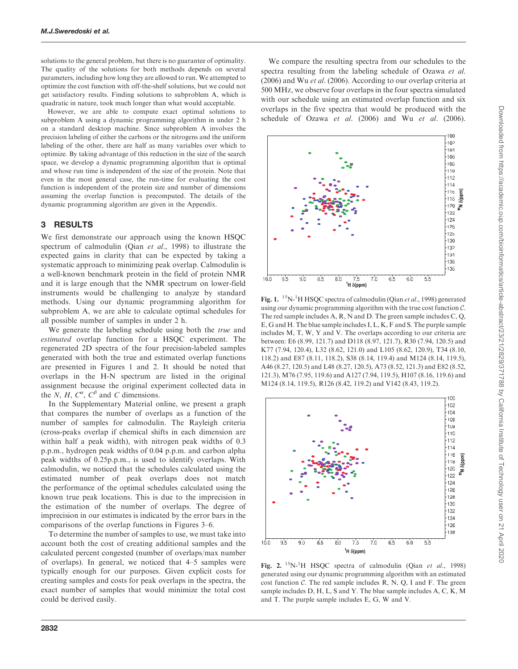solutions to the general problem, but there is no guarantee of optimality. The quality of the solutions for both methods depends on several parameters, including how long they are allowed to run. We attempted to optimize the cost function with off-the-shelf solutions, but we could not get satisfactory results. Finding solutions to subproblem A, which is quadratic in nature, took much longer than what would acceptable.

However, we are able to compute exact optimal solutions to subproblem A using a dynamic programming algorithm in under 2 h on a standard desktop machine. Since subproblem A involves the precision labeling of either the carbons or the nitrogens and the uniform labeling of the other, there are half as many variables over which to optimize. By taking advantage of this reduction in the size of the search space, we develop a dynamic programming algorithm that is optimal and whose run time is independent of the size of the protein. Note that even in the most general case, the run-time for evaluating the cost function is independent of the protein size and number of dimensions assuming the overlap function is precomputed. The details of the dynamic programming algorithm are given in the Appendix.

### 3 RESULTS

We first demonstrate our approach using the known HSQC spectrum of calmodulin (Qian et al., 1998) to illustrate the expected gains in clarity that can be expected by taking a systematic approach to minimizing peak overlap. Calmodulin is a well-known benchmark protein in the field of protein NMR and it is large enough that the NMR spectrum on lower-field instruments would be challenging to analyze by standard methods. Using our dynamic programming algorithm for subproblem A, we are able to calculate optimal schedules for all possible number of samples in under 2 h.

We generate the labeling schedule using both the *true* and estimated overlap function for a HSQC experiment. The regenerated 2D spectra of the four precision-labeled samples generated with both the true and estimated overlap functions are presented in Figures 1 and 2. It should be noted that overlaps in the H-N spectrum are listed in the original assignment because the original experiment collected data in the N, H,  $C^{\alpha}$ ,  $C^{\beta}$  and C dimensions.

In the Supplementary Material online, we present a graph that compares the number of overlaps as a function of the number of samples for calmodulin. The Rayleigh criteria (cross-peaks overlap if chemical shifts in each dimension are within half a peak width), with nitrogen peak widths of 0.3 p.p.m., hydrogen peak widths of 0.04 p.p.m. and carbon alpha peak widths of 0.25p.p.m., is used to identify overlaps. With calmodulin, we noticed that the schedules calculated using the estimated number of peak overlaps does not match the performance of the optimal schedules calculated using the known true peak locations. This is due to the imprecision in the estimation of the number of overlaps. The degree of imprecision in our estimates is indicated by the error bars in the comparisons of the overlap functions in Figures 3–6.

To determine the number of samples to use, we must take into account both the cost of creating additional samples and the calculated percent congested (number of overlaps/max number of overlaps). In general, we noticed that 4–5 samples were typically enough for our purposes. Given explicit costs for creating samples and costs for peak overlaps in the spectra, the exact number of samples that would minimize the total cost could be derived easily.

We compare the resulting spectra from our schedules to the spectra resulting from the labeling schedule of Ozawa et al. (2006) and Wu et al. (2006). According to our overlap criteria at 500 MHZ, we observe four overlaps in the four spectra simulated with our schedule using an estimated overlap function and six overlaps in the five spectra that would be produced with the schedule of Ozawa et al. (2006) and Wu et al. (2006).



Fig. 1. <sup>15</sup>N-<sup>1</sup>H HSQC spectra of calmodulin (Qian et al., 1998) generated using our dynamic programming algorithm with the true cost function C. The red sample includes A, R, N and D. The green sample includes C, Q, E, G and H. The blue sample includes I, L, K, F and S. The purple sample includes M, T, W, Y and V. The overlaps according to our criteria are between: E6 (8.99, 121.7) and D118 (8.97, 121.7), R30 (7.94, 120.5) and K77 (7.94, 120.4), L32 (8.62, 121.0) and L105 (8.62, 120.9), T34 (8.10, 118.2) and E87 (8.11, 118.2), S38 (8.14, 119.4) and M124 (8.14, 119.5), A46 (8.27, 120.5) and L48 (8.27, 120.5), A73 (8.52, 121.3) and E82 (8.52, 121.3), M76 (7.95, 119.6) and A127 (7.94, 119.5), H107 (8.16, 119.6) and M124 (8.14, 119.5), R126 (8.42, 119.2) and V142 (8.43, 119.2).



Fig. 2.  $^{15}N^{-1}H$  HSQC spectra of calmodulin (Qian et al., 1998) generated using our dynamic programming algorithm with an estimated cost function  $C$ . The red sample includes R, N, Q, I and F. The green sample includes D, H, L, S and Y. The blue sample includes A, C, K, M and T. The purple sample includes E, G, W and V.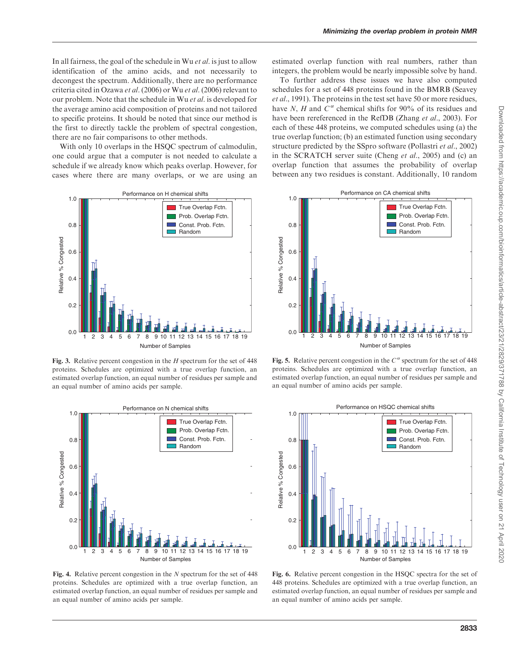In all fairness, the goal of the schedule in Wu et al. is just to allow identification of the amino acids, and not necessarily to decongest the spectrum. Additionally, there are no performance criteria cited in Ozawa et al. (2006) or Wu et al. (2006) relevant to our problem. Note that the schedule in Wu et al. is developed for the average amino acid composition of proteins and not tailored to specific proteins. It should be noted that since our method is the first to directly tackle the problem of spectral congestion, there are no fair comparisons to other methods.

With only 10 overlaps in the HSQC spectrum of calmodulin, one could argue that a computer is not needed to calculate a schedule if we already know which peaks overlap. However, for cases where there are many overlaps, or we are using an



Fig. 3. Relative percent congestion in the  $H$  spectrum for the set of 448 proteins. Schedules are optimized with a true overlap function, an estimated overlap function, an equal number of residues per sample and an equal number of amino acids per sample.



Fig. 4. Relative percent congestion in the  $N$  spectrum for the set of 448 proteins. Schedules are optimized with a true overlap function, an estimated overlap function, an equal number of residues per sample and an equal number of amino acids per sample.

estimated overlap function with real numbers, rather than integers, the problem would be nearly impossible solve by hand.

To further address these issues we have also computed schedules for a set of 448 proteins found in the BMRB (Seavey et al., 1991). The proteins in the test set have 50 or more residues, have N, H and  $C^{\alpha}$  chemical shifts for 90% of its residues and have been rereferenced in the RefDB (Zhang et al., 2003). For each of these 448 proteins, we computed schedules using (a) the true overlap function; (b) an estimated function using secondary structure predicted by the SSpro software (Pollastri et al., 2002) in the SCRATCH server suite (Cheng et al., 2005) and (c) an overlap function that assumes the probability of overlap between any two residues is constant. Additionally, 10 random



Fig. 5. Relative percent congestion in the  $C^{\alpha}$  spectrum for the set of 448 proteins. Schedules are optimized with a true overlap function, an estimated overlap function, an equal number of residues per sample and an equal number of amino acids per sample.



Fig. 6. Relative percent congestion in the HSQC spectra for the set of 448 proteins. Schedules are optimized with a true overlap function, an estimated overlap function, an equal number of residues per sample and an equal number of amino acids per sample.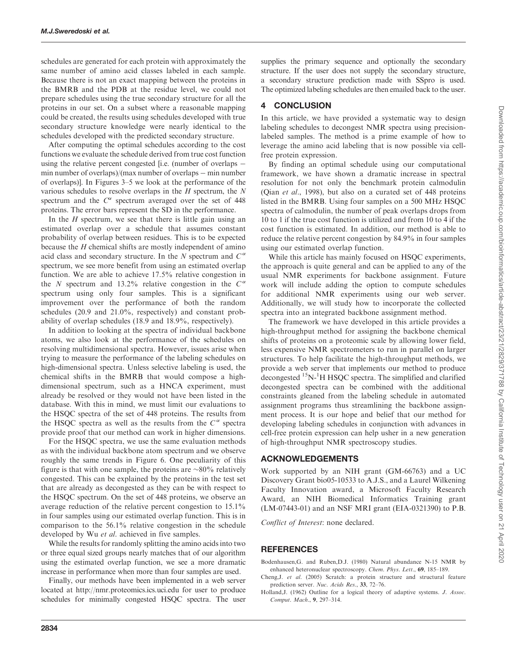schedules are generated for each protein with approximately the same number of amino acid classes labeled in each sample. Because there is not an exact mapping between the proteins in the BMRB and the PDB at the residue level, we could not prepare schedules using the true secondary structure for all the proteins in our set. On a subset where a reasonable mapping could be created, the results using schedules developed with true secondary structure knowledge were nearly identical to the schedules developed with the predicted secondary structure.

After computing the optimal schedules according to the cost functions we evaluate the schedule derived from true cost function using the relative percent congested [i.e. (number of overlaps min number of overlaps)/(max number of overlaps  $-$  min number of overlaps)]. In Figures 3–5 we look at the performance of the various schedules to resolve overlaps in the  $H$  spectrum, the  $N$ spectrum and the  $C^{\alpha}$  spectrum averaged over the set of 448 proteins. The error bars represent the SD in the performance.

In the  $H$  spectrum, we see that there is little gain using an estimated overlap over a schedule that assumes constant probability of overlap between residues. This is to be expected because the H chemical shifts are mostly independent of amino acid class and secondary structure. In the N spectrum and  $C^{\alpha}$ spectrum, we see more benefit from using an estimated overlap function. We are able to achieve 17.5% relative congestion in the N spectrum and 13.2% relative congestion in the  $C^{\alpha}$ spectrum using only four samples. This is a significant improvement over the performance of both the random schedules (20.9 and 21.0%, respectively) and constant probability of overlap schedules (18.9 and 18.9%, respectively).

In addition to looking at the spectra of individual backbone atoms, we also look at the performance of the schedules on resolving multidimensional spectra. However, issues arise when trying to measure the performance of the labeling schedules on high-dimensional spectra. Unless selective labeling is used, the chemical shifts in the BMRB that would compose a highdimensional spectrum, such as a HNCA experiment, must already be resolved or they would not have been listed in the database. With this in mind, we must limit our evaluations to the HSQC spectra of the set of 448 proteins. The results from the HSQC spectra as well as the results from the  $C^{\alpha}$  spectra provide proof that our method can work in higher dimensions.

For the HSQC spectra, we use the same evaluation methods as with the individual backbone atom spectrum and we observe roughly the same trends in Figure 6. One peculiarity of this figure is that with one sample, the proteins are  $\sim 80\%$  relatively congested. This can be explained by the proteins in the test set that are already as decongested as they can be with respect to the HSQC spectrum. On the set of 448 proteins, we observe an average reduction of the relative percent congestion to 15.1% in four samples using our estimated overlap function. This is in comparison to the 56.1% relative congestion in the schedule developed by Wu et al. achieved in five samples.

While the results for randomly splitting the amino acids into two or three equal sized groups nearly matches that of our algorithm using the estimated overlap function, we see a more dramatic increase in performance when more than four samples are used.

Finally, our methods have been implemented in a web server located at<http://nmr.proteomics.ics.uci.edu> for user to produce schedules for minimally congested HSQC spectra. The user supplies the primary sequence and optionally the secondary structure. If the user does not supply the secondary structure, a secondary structure prediction made with SSpro is used. The optimized labeling schedules are then emailed back to the user.

## **CONCLUSION**

In this article, we have provided a systematic way to design labeling schedules to decongest NMR spectra using precisionlabeled samples. The method is a prime example of how to leverage the amino acid labeling that is now possible via cellfree protein expression.

By finding an optimal schedule using our computational framework, we have shown a dramatic increase in spectral resolution for not only the benchmark protein calmodulin (Qian et al., 1998), but also on a curated set of 448 proteins listed in the BMRB. Using four samples on a 500 MHZ HSQC spectra of calmodulin, the number of peak overlaps drops from 10 to 1 if the true cost function is utilized and from 10 to 4 if the cost function is estimated. In addition, our method is able to reduce the relative percent congestion by 84.9% in four samples using our estimated overlap function.

While this article has mainly focused on HSQC experiments, the approach is quite general and can be applied to any of the usual NMR experiments for backbone assignment. Future work will include adding the option to compute schedules for additional NMR experiments using our web server. Additionally, we will study how to incorporate the collected spectra into an integrated backbone assignment method.

The framework we have developed in this article provides a high-throughput method for assigning the backbone chemical shifts of proteins on a proteomic scale by allowing lower field, less expensive NMR spectrometers to run in parallel on larger structures. To help facilitate the high-throughput methods, we provide a web server that implements our method to produce decongested <sup>15</sup>N-<sup>1</sup>H HSQC spectra. The simplified and clarified decongested spectra can be combined with the additional constraints gleaned from the labeling schedule in automated assignment programs thus streamlining the backbone assignment process. It is our hope and belief that our method for developing labeling schedules in conjunction with advances in cell-free protein expression can help usher in a new generation of high-throughput NMR spectroscopy studies.

# ACKNOWLEDGEMENTS

Work supported by an NIH grant (GM-66763) and a UC Discovery Grant bio05-10533 to A.J.S., and a Laurel Wilkening Faculty Innovation award, a Microsoft Faculty Research Award, an NIH Biomedical Informatics Training grant (LM-07443-01) and an NSF MRI grant (EIA-0321390) to P.B.

Conflict of Interest: none declared.

# **REFERENCES**

Bodenhausen,G. and Ruben,D.J. (1980) Natural abundance N-15 NMR by enhanced heteronuclear spectroscopy. Chem. Phys. Lett., 69, 185–189.

- Cheng,J. et al. (2005) Scratch: a protein structure and structural feature prediction server. Nuc. Acids Res., 33, 72–76.
- Holland, J. (1962) Outline for a logical theory of adaptive systems. J. Assoc. Comput. Mach., 9, 297–314.